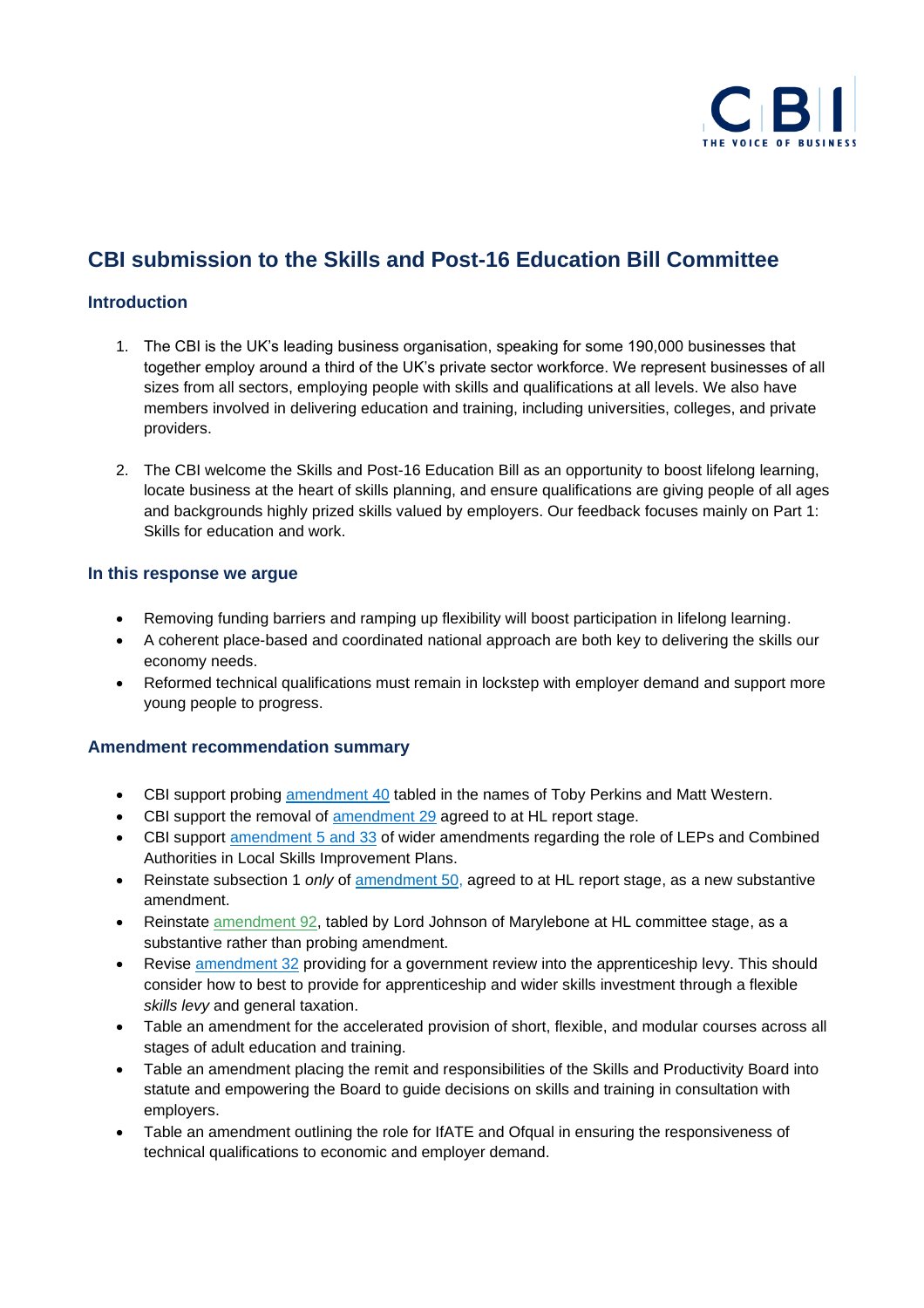

# **CBI submission to the Skills and Post-16 Education Bill Committee**

#### **Introduction**

- 1. The CBI is the UK's leading business organisation, speaking for some 190,000 businesses that together employ around a third of the UK's private sector workforce. We represent businesses of all sizes from all sectors, employing people with skills and qualifications at all levels. We also have members involved in delivering education and training, including universities, colleges, and private providers.
- 2. The CBI welcome the Skills and Post-16 Education Bill as an opportunity to boost lifelong learning, locate business at the heart of skills planning, and ensure qualifications are giving people of all ages and backgrounds highly prized skills valued by employers. Our feedback focuses mainly on Part 1: Skills for education and work.

#### **In this response we argue**

- Removing funding barriers and ramping up flexibility will boost participation in lifelong learning.
- A coherent place-based and coordinated national approach are both key to delivering the skills our economy needs.
- Reformed technical qualifications must remain in lockstep with employer demand and support more young people to progress.

### **Amendment recommendation summary**

- CBI support probing [amendment 40](https://publications.parliament.uk/pa/bills/cbill/58-02/0176/amend/skills_pbc_rm_1126.pdf) tabled in the names of Toby Perkins and Matt Western.
- CBI support the removal of [amendment 29](https://bills.parliament.uk/publications/43149/documents/818#sec_7__subsec_4__qstr__oc_1__sec_A2D6__subsec_2) agreed to at HL report stage.
- CBI support [amendment 5 and 33](https://publications.parliament.uk/pa/bills/cbill/58-02/0176/amend/skills_pbc_rm_1126.pdf) of wider amendments regarding the role of LEPs and Combined Authorities in Local Skills Improvement Plans.
- Reinstate subsection 1 *only* of [amendment 50,](https://bills.parliament.uk/bills/2868/stages/15688/amendments/88841) agreed to at HL report stage, as a new substantive amendment.
- Reinstate [amendment 92,](https://bills.parliament.uk/publications/42898/documents/728) tabled by Lord Johnson of Marylebone at HL committee stage, as a substantive rather than probing amendment.
- Revise [amendment 32](https://publications.parliament.uk/pa/bills/cbill/58-02/0176/amend/skills_pbc_rm_1126.pdf) providing for a government review into the apprenticeship levy. This should consider how to best to provide for apprenticeship and wider skills investment through a flexible *skills levy* and general taxation.
- Table an amendment for the accelerated provision of short, flexible, and modular courses across all stages of adult education and training.
- Table an amendment placing the remit and responsibilities of the Skills and Productivity Board into statute and empowering the Board to guide decisions on skills and training in consultation with employers.
- Table an amendment outlining the role for IfATE and Ofqual in ensuring the responsiveness of technical qualifications to economic and employer demand.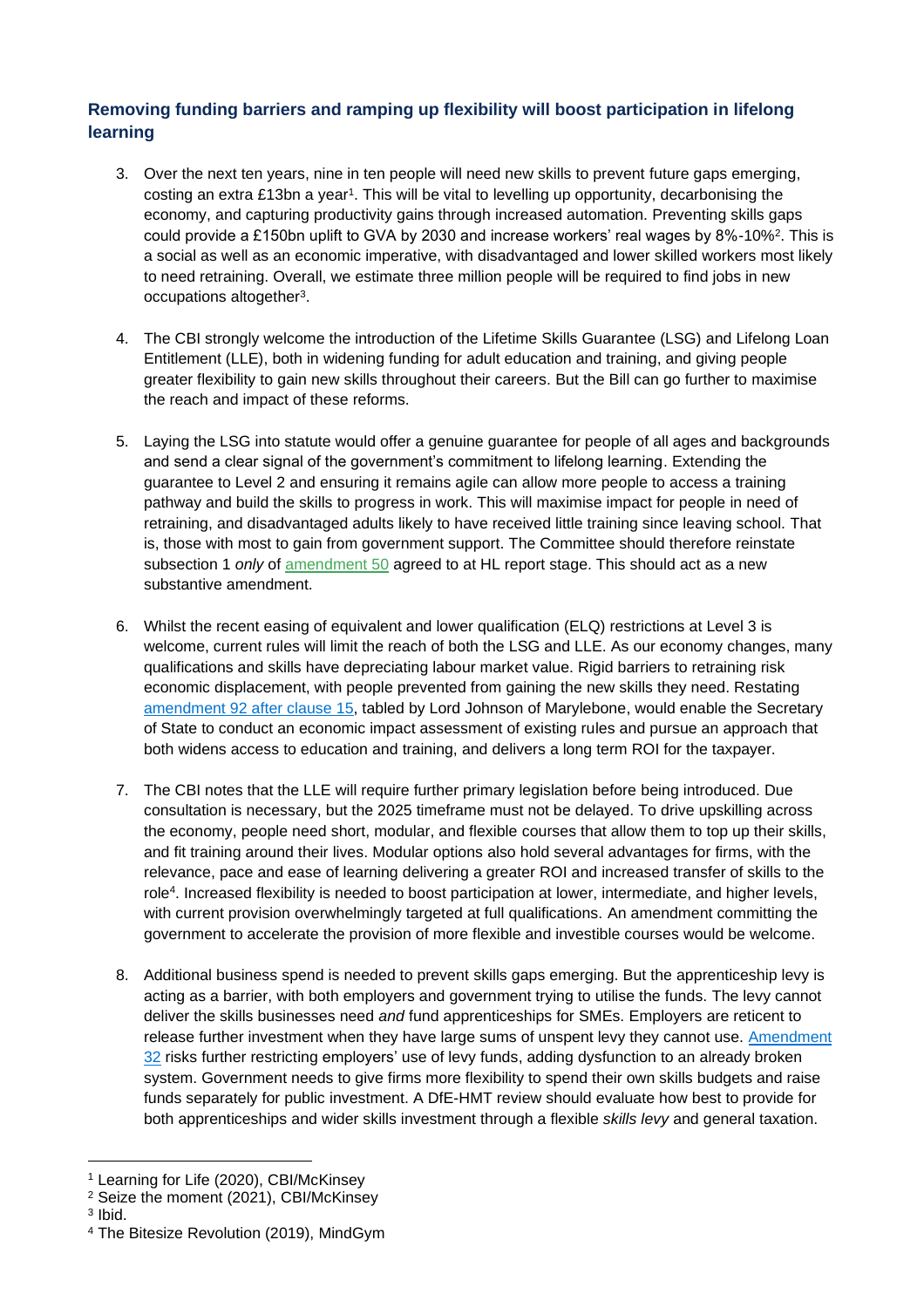## **Removing funding barriers and ramping up flexibility will boost participation in lifelong learning**

- 3. Over the next ten years, nine in ten people will need new skills to prevent future gaps emerging, costing an extra £13bn a year1. This will be vital to levelling up opportunity, decarbonising the economy, and capturing productivity gains through increased automation. Preventing skills gaps could provide a £150bn uplift to GVA by 2030 and increase workers' real wages by 8%-10%². This is a social as well as an economic imperative, with disadvantaged and lower skilled workers most likely to need retraining. Overall, we estimate three million people will be required to find jobs in new occupations altogether<sup>3</sup>.
- 4. The CBI strongly welcome the introduction of the Lifetime Skills Guarantee (LSG) and Lifelong Loan Entitlement (LLE), both in widening funding for adult education and training, and giving people greater flexibility to gain new skills throughout their careers. But the Bill can go further to maximise the reach and impact of these reforms.
- 5. Laying the LSG into statute would offer a genuine guarantee for people of all ages and backgrounds and send a clear signal of the government's commitment to lifelong learning. Extending the guarantee to Level 2 and ensuring it remains agile can allow more people to access a training pathway and build the skills to progress in work. This will maximise impact for people in need of retraining, and disadvantaged adults likely to have received little training since leaving school. That is, those with most to gain from government support. The Committee should therefore reinstate subsection 1 *only* of [amendment 50](https://bills.parliament.uk/bills/2868/stages/15688/amendments/88841) agreed to at HL report stage. This should act as a new substantive amendment.
- 6. Whilst the recent easing of equivalent and lower qualification (ELQ) restrictions at Level 3 is welcome, current rules will limit the reach of both the LSG and LLE. As our economy changes, many qualifications and skills have depreciating labour market value. Rigid barriers to retraining risk economic displacement, with people prevented from gaining the new skills they need. Restating amendment 92 [after clause 15,](https://bills.parliament.uk/publications/42898/documents/728) tabled by Lord Johnson of Marylebone, would enable the Secretary of State to conduct an economic impact assessment of existing rules and pursue an approach that both widens access to education and training, and delivers a long term ROI for the taxpayer.
- 7. The CBI notes that the LLE will require further primary legislation before being introduced. Due consultation is necessary, but the 2025 timeframe must not be delayed. To drive upskilling across the economy, people need short, modular, and flexible courses that allow them to top up their skills, and fit training around their lives. Modular options also hold several advantages for firms, with the relevance, pace and ease of learning delivering a greater ROI and increased transfer of skills to the role<sup>4</sup> . Increased flexibility is needed to boost participation at lower, intermediate, and higher levels, with current provision overwhelmingly targeted at full qualifications. An amendment committing the government to accelerate the provision of more flexible and investible courses would be welcome.
- 8. Additional business spend is needed to prevent skills gaps emerging. But the apprenticeship levy is acting as a barrier, with both employers and government trying to utilise the funds. The levy cannot deliver the skills businesses need *and* fund apprenticeships for SMEs. Employers are reticent to release further investment when they have large sums of unspent levy they cannot use. Amendment [32](https://publications.parliament.uk/pa/bills/cbill/58-02/0176/amend/skills_pbc_rm_1126.pdf) risks further restricting employers' use of levy funds, adding dysfunction to an already broken system. Government needs to give firms more flexibility to spend their own skills budgets and raise funds separately for public investment. A DfE-HMT review should evaluate how best to provide for both apprenticeships and wider skills investment through a flexible *skills levy* and general taxation.

<sup>1</sup> Learning for Life (2020), CBI/McKinsey

<sup>2</sup> Seize the moment (2021), CBI/McKinsey

<sup>3</sup> Ibid.

<sup>4</sup> The Bitesize Revolution (2019), MindGym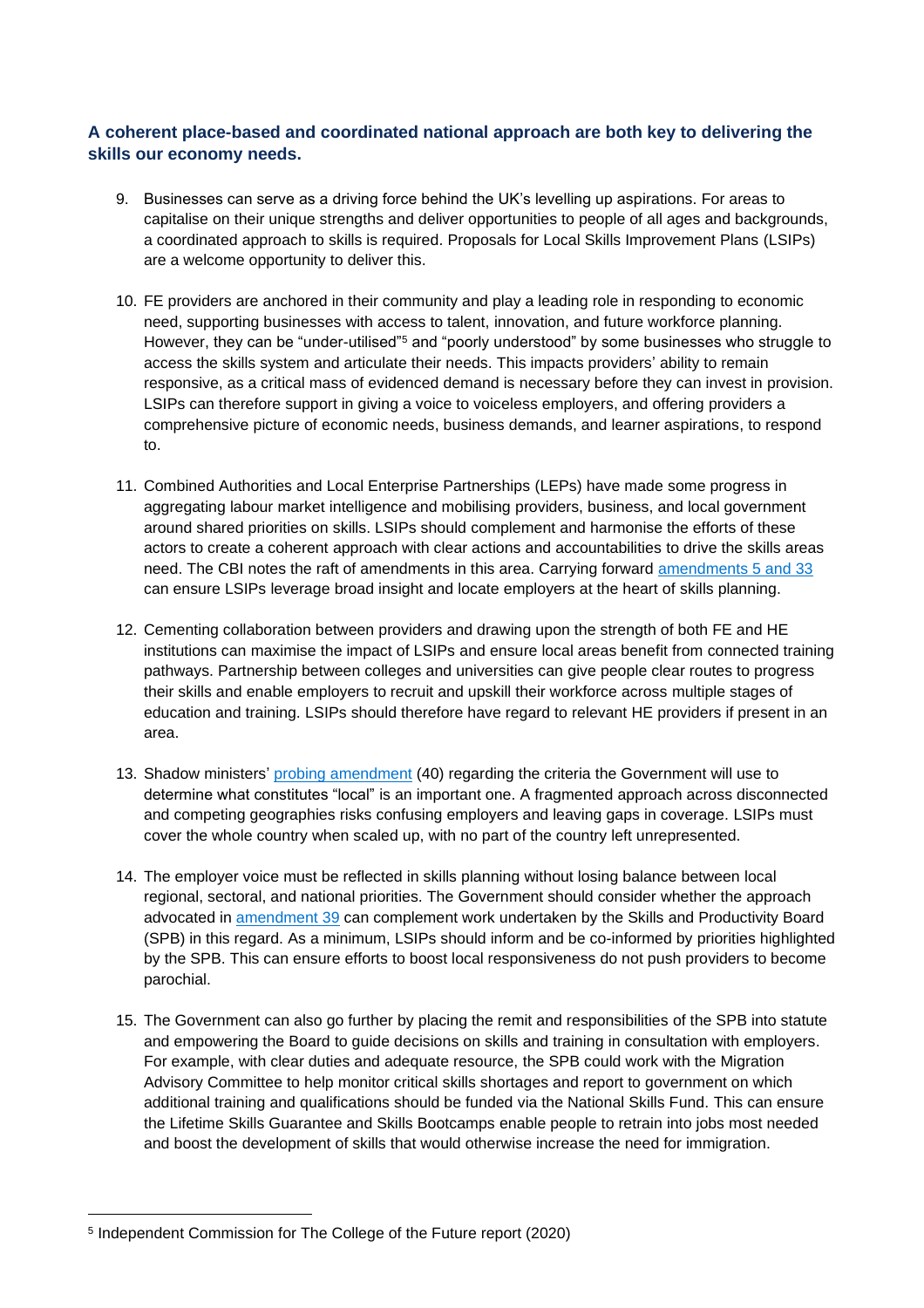## **A coherent place-based and coordinated national approach are both key to delivering the skills our economy needs.**

- 9. Businesses can serve as a driving force behind the UK's levelling up aspirations. For areas to capitalise on their unique strengths and deliver opportunities to people of all ages and backgrounds, a coordinated approach to skills is required. Proposals for Local Skills Improvement Plans (LSIPs) are a welcome opportunity to deliver this.
- 10. FE providers are anchored in their community and play a leading role in responding to economic need, supporting businesses with access to talent, innovation, and future workforce planning. However, they can be "under-utilised"<sup>5</sup> and "poorly understood" by some businesses who struggle to access the skills system and articulate their needs. This impacts providers' ability to remain responsive, as a critical mass of evidenced demand is necessary before they can invest in provision. LSIPs can therefore support in giving a voice to voiceless employers, and offering providers a comprehensive picture of economic needs, business demands, and learner aspirations, to respond to.
- 11. Combined Authorities and Local Enterprise Partnerships (LEPs) have made some progress in aggregating labour market intelligence and mobilising providers, business, and local government around shared priorities on skills. LSIPs should complement and harmonise the efforts of these actors to create a coherent approach with clear actions and accountabilities to drive the skills areas need. The CBI notes the raft of amendments in this area. Carrying forward [amendments 5 and 33](https://publications.parliament.uk/pa/bills/cbill/58-02/0176/amend/skills_pbc_rm_1126.pdf) can ensure LSIPs leverage broad insight and locate employers at the heart of skills planning.
- 12. Cementing collaboration between providers and drawing upon the strength of both FE and HE institutions can maximise the impact of LSIPs and ensure local areas benefit from connected training pathways. Partnership between colleges and universities can give people clear routes to progress their skills and enable employers to recruit and upskill their workforce across multiple stages of education and training. LSIPs should therefore have regard to relevant HE providers if present in an area.
- 13. Shadow ministers' [probing amendment](https://publications.parliament.uk/pa/bills/cbill/58-02/0176/amend/skills_pbc_rm_1126.pdf) (40) regarding the criteria the Government will use to determine what constitutes "local" is an important one. A fragmented approach across disconnected and competing geographies risks confusing employers and leaving gaps in coverage. LSIPs must cover the whole country when scaled up, with no part of the country left unrepresented.
- 14. The employer voice must be reflected in skills planning without losing balance between local regional, sectoral, and national priorities. The Government should consider whether the approach advocated in [amendment 39](https://publications.parliament.uk/pa/bills/cbill/58-02/0176/amend/skills_pbc_rm_1126.pdf) can complement work undertaken by the Skills and Productivity Board (SPB) in this regard. As a minimum, LSIPs should inform and be co-informed by priorities highlighted by the SPB. This can ensure efforts to boost local responsiveness do not push providers to become parochial.
- 15. The Government can also go further by placing the remit and responsibilities of the SPB into statute and empowering the Board to guide decisions on skills and training in consultation with employers. For example, with clear duties and adequate resource, the SPB could work with the Migration Advisory Committee to help monitor critical skills shortages and report to government on which additional training and qualifications should be funded via the National Skills Fund. This can ensure the Lifetime Skills Guarantee and Skills Bootcamps enable people to retrain into jobs most needed and boost the development of skills that would otherwise increase the need for immigration.

<sup>5</sup> Independent Commission for The College of the Future report (2020)